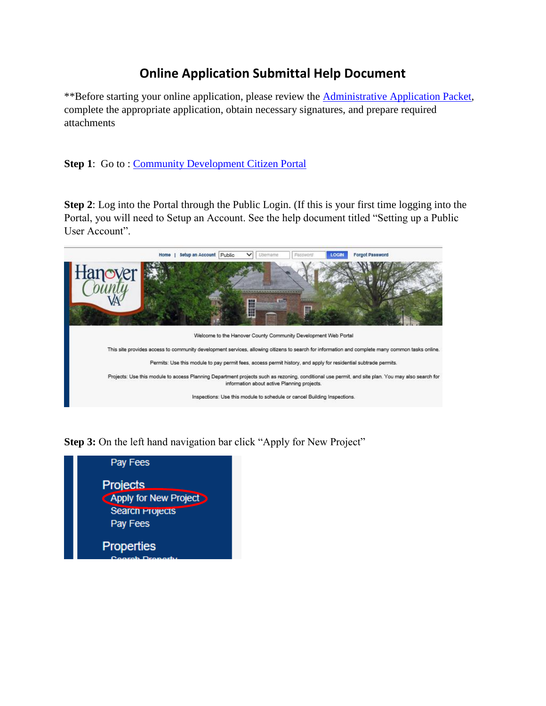## **Online Application Submittal Help Document**

\*\*Before starting your online application, please review the [Administrative Application Packet,](https://www.hanovercounty.gov/DocumentCenter/View/6937/Administrative-Application-Packet) complete the appropriate application, obtain necessary signatures, and prepare required attachments

**Step 1:** Go to: [Community Development Citizen Portal](https://communitydevelopment.hanovercounty.gov/eTRAKiT/)

**Step 2**: Log into the Portal through the Public Login. (If this is your first time logging into the Portal, you will need to Setup an Account. See the help document titled "Setting up a Public User Account".



**Step 3:** On the left hand navigation bar click "Apply for New Project"

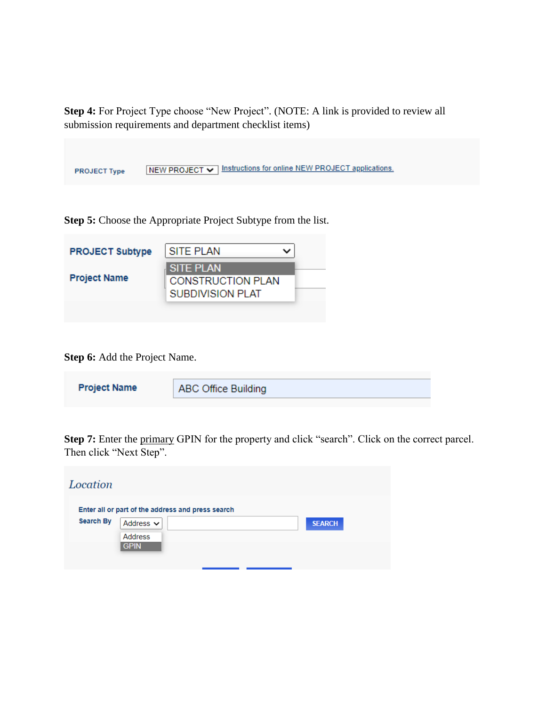**Step 4:** For Project Type choose "New Project". (NOTE: A link is provided to review all submission requirements and department checklist items)

| <b>PROJECT Type</b> | NEW PROJECT V Instructions for online NEW PROJECT applications. |
|---------------------|-----------------------------------------------------------------|

**Step 5:** Choose the Appropriate Project Subtype from the list.

| <b>PROJECT Subtype</b> | <b>SITE PLAN</b>                             |  |
|------------------------|----------------------------------------------|--|
| <b>Project Name</b>    | <b>SITE PLAN</b><br><b>CONSTRUCTION PLAN</b> |  |
|                        | <b>SUBDIVISION PLAT</b>                      |  |
|                        |                                              |  |

**Step 6:** Add the Project Name.

| <b>Project Name</b> | <b>ABC Office Building</b> |
|---------------------|----------------------------|
|                     |                            |

**Step 7:** Enter the primary GPIN for the property and click "search". Click on the correct parcel. Then click "Next Step".

| Location         |                                                   |  |               |  |
|------------------|---------------------------------------------------|--|---------------|--|
| <b>Search By</b> | Enter all or part of the address and press search |  |               |  |
|                  | Address $\sim$<br><b>Address</b>                  |  | <b>SEARCH</b> |  |
|                  | <b>GPIN</b>                                       |  |               |  |
|                  |                                                   |  |               |  |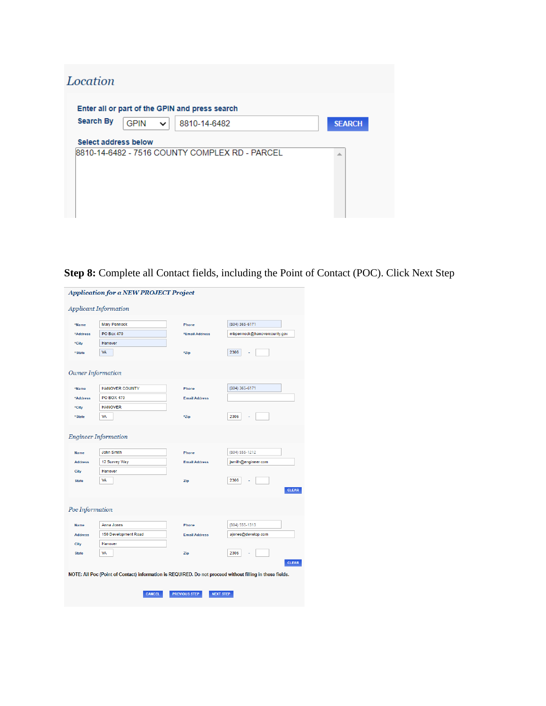| Location             |             |   |                                                |               |
|----------------------|-------------|---|------------------------------------------------|---------------|
|                      |             |   | Enter all or part of the GPIN and press search |               |
| <b>Search By</b>     | <b>GPIN</b> | ◡ | 8810-14-6482                                   | <b>SEARCH</b> |
| Select address below |             |   | 8810-14-6482 - 7516 COUNTY COMPLEX RD - PARCEL | 业             |
|                      |             |   |                                                |               |
|                      |             |   |                                                |               |

**Step 8:** Complete all Contact fields, including the Point of Contact (POC). Click Next Step

|                                                       | <b>Application for a NEW PROJECT Project</b>                                                                               |                                          |                                                               |
|-------------------------------------------------------|----------------------------------------------------------------------------------------------------------------------------|------------------------------------------|---------------------------------------------------------------|
|                                                       | <b>Applicant Information</b>                                                                                               |                                          |                                                               |
| *Name                                                 | <b>Mary Pennock</b>                                                                                                        | Phone                                    | (804) 365-6171                                                |
| *Address                                              | <b>PO Box 470</b>                                                                                                          | *Email Address                           | mbpennock@hanovercounty.gov                                   |
| *City                                                 | Hanover                                                                                                                    |                                          |                                                               |
| *State                                                | VA                                                                                                                         | *Zip                                     | 2306                                                          |
| Owner Information                                     |                                                                                                                            |                                          |                                                               |
| *Name                                                 | <b>HANOVER COUNTY</b>                                                                                                      | Phone                                    | (804) 365-6171                                                |
| *Address                                              | <b>PO BOX 470</b>                                                                                                          | <b>Email Address</b>                     |                                                               |
| *City                                                 | <b>HANOVER</b>                                                                                                             |                                          |                                                               |
| *State                                                | <b>VA</b>                                                                                                                  | *Zip                                     | 2306                                                          |
| <b>Name</b><br><b>Address</b><br>City<br><b>State</b> | <b>Engineer Information</b><br><b>John Smith</b><br>12 Survey Way<br>Hanover<br>VA                                         | Phone<br><b>Email Address</b><br>Zip     | (804) 555-1212<br>jsmith@engineer.com<br>2306<br><b>CLEAR</b> |
| Poc Information                                       |                                                                                                                            |                                          |                                                               |
| Name                                                  | Anna Jones                                                                                                                 | Phone                                    | (804) 555-1313                                                |
| <b>Address</b>                                        | 150 Development Road                                                                                                       | <b>Email Address</b>                     | ajones@develop.com                                            |
| City                                                  | Hanover                                                                                                                    |                                          |                                                               |
| <b>State</b>                                          | <b>VA</b>                                                                                                                  | Zip                                      | 2306                                                          |
|                                                       | NOTE: All Poc (Point of Contact) information is REQUIRED. Do not proceed without filling in these fields.<br><b>CANCEL</b> | <b>PREVIOUS STEP</b><br><b>NEXT STEP</b> | <b>CLEAR</b>                                                  |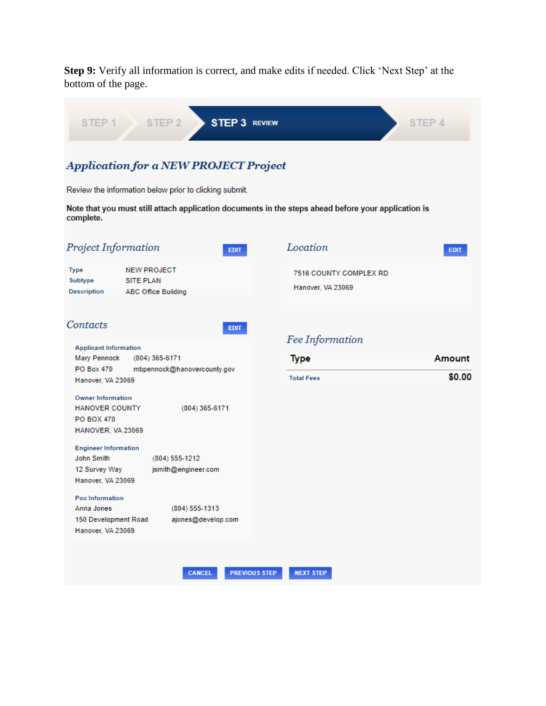**Step 9:** Verify all information is correct, and make edits if needed. Click 'Next Step' at the bottom of the page.

| STEP <sub>1</sub>                                                                             | STEP <sub>2</sub>                                                    | <b>STEP 3 REVIEW</b> |                                                                                                     | STEP 4           |
|-----------------------------------------------------------------------------------------------|----------------------------------------------------------------------|----------------------|-----------------------------------------------------------------------------------------------------|------------------|
|                                                                                               | <b>Application for a NEW PROJECT Project</b>                         |                      |                                                                                                     |                  |
|                                                                                               | Review the information below prior to clicking submit.               |                      |                                                                                                     |                  |
| complete.                                                                                     |                                                                      |                      | Note that you must still attach application documents in the steps ahead before your application is |                  |
| Project Information                                                                           |                                                                      | <b>EDIT</b>          | Location                                                                                            | <b>EDIT</b>      |
| Type<br>Subtype<br>Description                                                                | <b>NEW PROJECT</b><br><b>SITE PLAN</b><br><b>ABC Office Building</b> |                      | <b>7516 COUNTY COMPLEX RD</b><br>Hanover, VA 23069                                                  |                  |
| Contacts                                                                                      |                                                                      | <b>EDIT</b>          | Fee Information                                                                                     |                  |
| <b>Applicant Information</b><br><b>Mary Pennock</b><br><b>PO Box 470</b><br>Hanover, VA 23069 | $(804)$ 365-6171<br>mbpennock@hanovercounty.gov                      |                      | <b>Type</b><br><b>Total Fees</b>                                                                    | Amount<br>\$0.00 |
| <b>Owner Information</b><br><b>HANOVER COUNTY</b><br><b>PO BOX 470</b><br>HANOVER, VA 23069   |                                                                      | $(804)$ 365-6171     |                                                                                                     |                  |
| <b>Engineer Information</b><br><b>John Smith</b><br>12 Survey Way<br>Hanover, VA 23069        | (804) 555-1212<br>jsmith@engineer.com                                |                      |                                                                                                     |                  |
| Poc Information<br>Anna Jones<br>150 Development Road<br>Hanover, VA 23069                    | (804) 555-1313                                                       | ajones@develop.com   |                                                                                                     |                  |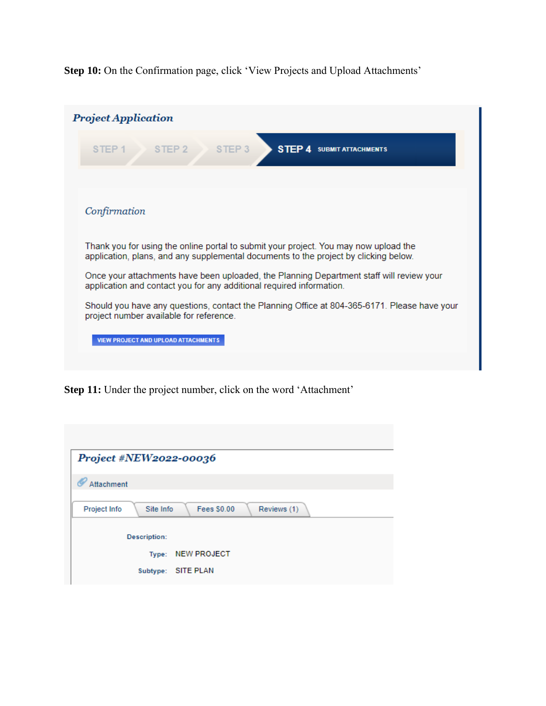**Step 10:** On the Confirmation page, click 'View Projects and Upload Attachments'

|                   | <b>Project Application</b>                                                                                                                                                   |
|-------------------|------------------------------------------------------------------------------------------------------------------------------------------------------------------------------|
| STEP <sub>1</sub> | STEP <sub>3</sub><br>STEP <sub>2</sub><br><b>STEP 4 SUBMIT ATTACHMENTS</b>                                                                                                   |
|                   |                                                                                                                                                                              |
|                   | Confirmation                                                                                                                                                                 |
|                   | Thank you for using the online portal to submit your project. You may now upload the<br>application, plans, and any supplemental documents to the project by clicking below. |
|                   | Once your attachments have been uploaded, the Planning Department staff will review your<br>application and contact you for any additional required information.             |
|                   | Should you have any questions, contact the Planning Office at 804-365-6171. Please have your<br>project number available for reference.                                      |
|                   | <b>VIEW PROJECT AND UPLOAD ATTACHMENTS</b>                                                                                                                                   |
|                   |                                                                                                                                                                              |

**Step 11:** Under the project number, click on the word 'Attachment'

| Project #NEW2022-00036                                         |
|----------------------------------------------------------------|
| Attachment                                                     |
| Reviews (1)<br>Project Info<br>Site Info<br><b>Fees \$0.00</b> |
| <b>Description:</b>                                            |
| Type: NEW PROJECT                                              |
| Subtype: SITE PLAN                                             |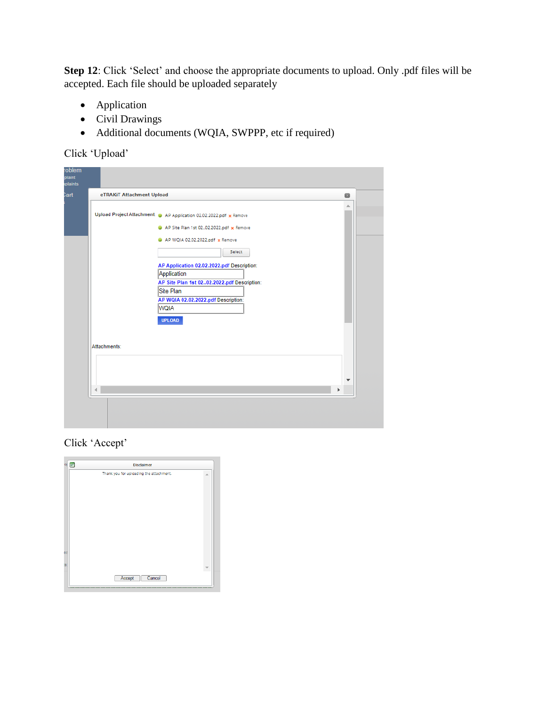**Step 12**: Click 'Select' and choose the appropriate documents to upload. Only .pdf files will be accepted. Each file should be uploaded separately

- Application
- Civil Drawings
- Additional documents (WQIA, SWPPP, etc if required)

Click 'Upload'

|              | eTRAKiT Attachment Upload                                                                                                                                                                                                                                                                                                                                   | Ø      |
|--------------|-------------------------------------------------------------------------------------------------------------------------------------------------------------------------------------------------------------------------------------------------------------------------------------------------------------------------------------------------------------|--------|
|              | Upload Project Attachment: @ AP Application 02.02.2022.pdf x Remove<br>AP Site Plan 1st 0202.2022.pdf x Remove<br>AP WQIA 02.02.2022.pdf x Remove<br>Select<br>AP Application 02.02.2022.pdf Description:<br>Application<br>AP Site Plan 1st 0202.2022.pdf Description:<br>Site Plan<br>AP WQIA 02.02.2022.pdf Description:<br><b>WQIA</b><br><b>UPLOAD</b> | 盀      |
| Attachments: |                                                                                                                                                                                                                                                                                                                                                             | ▼<br>Þ |

Click 'Accept'

| oji | E<br><b>Disclaimer</b>                  |                          |
|-----|-----------------------------------------|--------------------------|
|     | Thank you for uploading the attachment. | $\overline{\phantom{a}}$ |
|     |                                         |                          |
|     |                                         |                          |
|     |                                         |                          |
|     |                                         |                          |
|     |                                         |                          |
|     |                                         |                          |
| oa  |                                         |                          |
|     |                                         |                          |
| 'S  |                                         |                          |
|     | Accept<br>Cancel                        |                          |